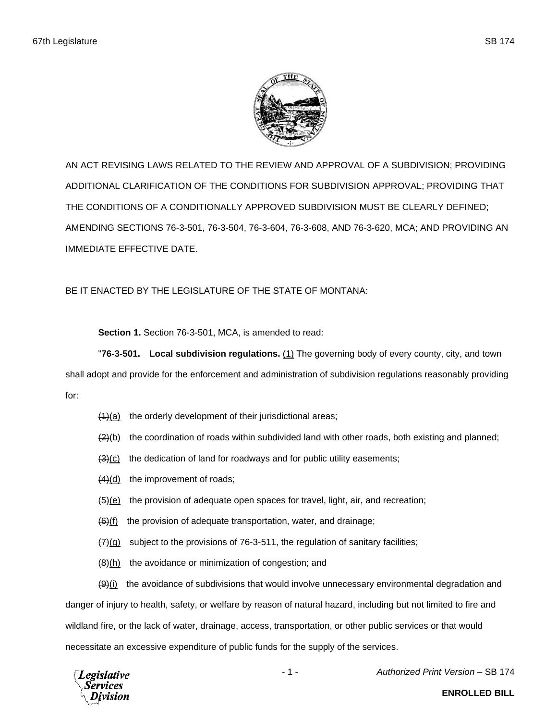

AN ACT REVISING LAWS RELATED TO THE REVIEW AND APPROVAL OF A SUBDIVISION; PROVIDING ADDITIONAL CLARIFICATION OF THE CONDITIONS FOR SUBDIVISION APPROVAL; PROVIDING THAT THE CONDITIONS OF A CONDITIONALLY APPROVED SUBDIVISION MUST BE CLEARLY DEFINED; AMENDING SECTIONS 76-3-501, 76-3-504, 76-3-604, 76-3-608, AND 76-3-620, MCA; AND PROVIDING AN IMMEDIATE EFFECTIVE DATE.

BE IT ENACTED BY THE LEGISLATURE OF THE STATE OF MONTANA:

**Section 1.** Section 76-3-501, MCA, is amended to read:

"**76-3-501. Local subdivision regulations.** (1) The governing body of every county, city, and town

shall adopt and provide for the enforcement and administration of subdivision regulations reasonably providing for:

- $(1)(a)$  the orderly development of their jurisdictional areas;
- $(2)(b)$  the coordination of roads within subdivided land with other roads, both existing and planned;
- $(3)(c)$  the dedication of land for roadways and for public utility easements;
- (4)(d) the improvement of roads;
- $\frac{1}{2}(e)$  the provision of adequate open spaces for travel, light, air, and recreation;
- $\left(\frac{6}{1}\right)$  the provision of adequate transportation, water, and drainage;
- $\frac{7}{20}$  subject to the provisions of 76-3-511, the regulation of sanitary facilities;
- $(8)$ (h) the avoidance or minimization of congestion; and

 $(9)(i)$  the avoidance of subdivisions that would involve unnecessary environmental degradation and danger of injury to health, safety, or welfare by reason of natural hazard, including but not limited to fire and wildland fire, or the lack of water, drainage, access, transportation, or other public services or that would necessitate an excessive expenditure of public funds for the supply of the services.



- 1 - *Authorized Print Version* – SB 174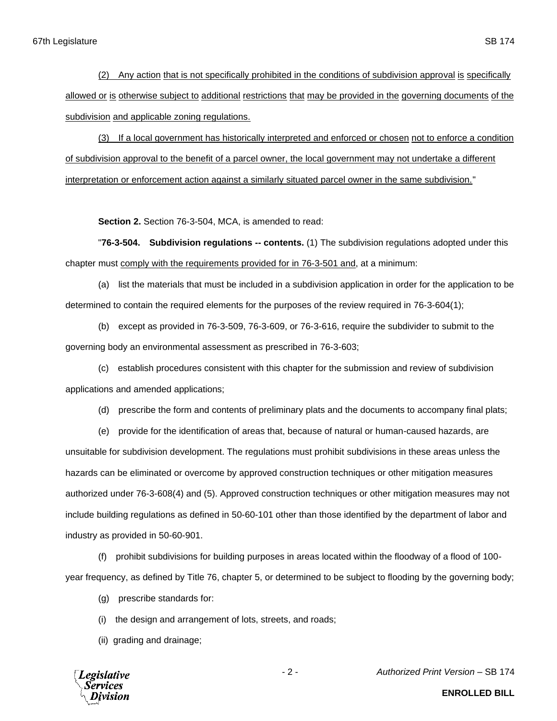(2) Any action that is not specifically prohibited in the conditions of subdivision approval is specifically allowed or is otherwise subject to additional restrictions that may be provided in the governing documents of the subdivision and applicable zoning regulations.

(3) If a local government has historically interpreted and enforced or chosen not to enforce a condition of subdivision approval to the benefit of a parcel owner, the local government may not undertake a different interpretation or enforcement action against a similarly situated parcel owner in the same subdivision."

**Section 2.** Section 76-3-504, MCA, is amended to read:

"**76-3-504. Subdivision regulations -- contents.** (1) The subdivision regulations adopted under this chapter must comply with the requirements provided for in 76-3-501 and, at a minimum:

(a) list the materials that must be included in a subdivision application in order for the application to be determined to contain the required elements for the purposes of the review required in 76-3-604(1);

(b) except as provided in 76-3-509, 76-3-609, or 76-3-616, require the subdivider to submit to the governing body an environmental assessment as prescribed in 76-3-603;

(c) establish procedures consistent with this chapter for the submission and review of subdivision applications and amended applications;

(d) prescribe the form and contents of preliminary plats and the documents to accompany final plats;

(e) provide for the identification of areas that, because of natural or human-caused hazards, are unsuitable for subdivision development. The regulations must prohibit subdivisions in these areas unless the hazards can be eliminated or overcome by approved construction techniques or other mitigation measures authorized under 76-3-608(4) and (5). Approved construction techniques or other mitigation measures may not include building regulations as defined in 50-60-101 other than those identified by the department of labor and industry as provided in 50-60-901.

(f) prohibit subdivisions for building purposes in areas located within the floodway of a flood of 100 year frequency, as defined by Title 76, chapter 5, or determined to be subject to flooding by the governing body;

(g) prescribe standards for:

(i) the design and arrangement of lots, streets, and roads;

(ii) grading and drainage;

**Legislative** Services Division

- 2 - *Authorized Print Version* – SB 174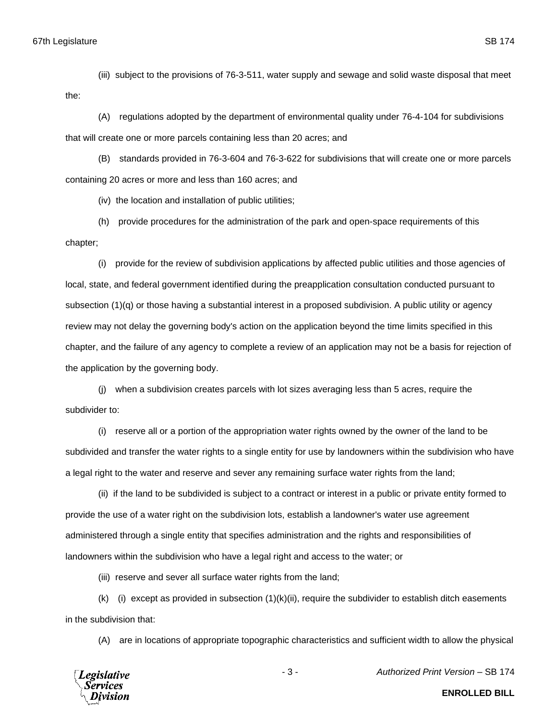(iii) subject to the provisions of 76-3-511, water supply and sewage and solid waste disposal that meet the:

(A) regulations adopted by the department of environmental quality under 76-4-104 for subdivisions that will create one or more parcels containing less than 20 acres; and

(B) standards provided in 76-3-604 and 76-3-622 for subdivisions that will create one or more parcels containing 20 acres or more and less than 160 acres; and

(iv) the location and installation of public utilities;

(h) provide procedures for the administration of the park and open-space requirements of this chapter;

(i) provide for the review of subdivision applications by affected public utilities and those agencies of local, state, and federal government identified during the preapplication consultation conducted pursuant to subsection (1)(q) or those having a substantial interest in a proposed subdivision. A public utility or agency review may not delay the governing body's action on the application beyond the time limits specified in this chapter, and the failure of any agency to complete a review of an application may not be a basis for rejection of the application by the governing body.

(j) when a subdivision creates parcels with lot sizes averaging less than 5 acres, require the subdivider to:

(i) reserve all or a portion of the appropriation water rights owned by the owner of the land to be subdivided and transfer the water rights to a single entity for use by landowners within the subdivision who have a legal right to the water and reserve and sever any remaining surface water rights from the land;

(ii) if the land to be subdivided is subject to a contract or interest in a public or private entity formed to provide the use of a water right on the subdivision lots, establish a landowner's water use agreement administered through a single entity that specifies administration and the rights and responsibilities of landowners within the subdivision who have a legal right and access to the water; or

(iii) reserve and sever all surface water rights from the land;

 $(k)$  (i) except as provided in subsection  $(1)(k)(ii)$ , require the subdivider to establish ditch easements in the subdivision that:

(A) are in locations of appropriate topographic characteristics and sufficient width to allow the physical



- 3 - *Authorized Print Version* – SB 174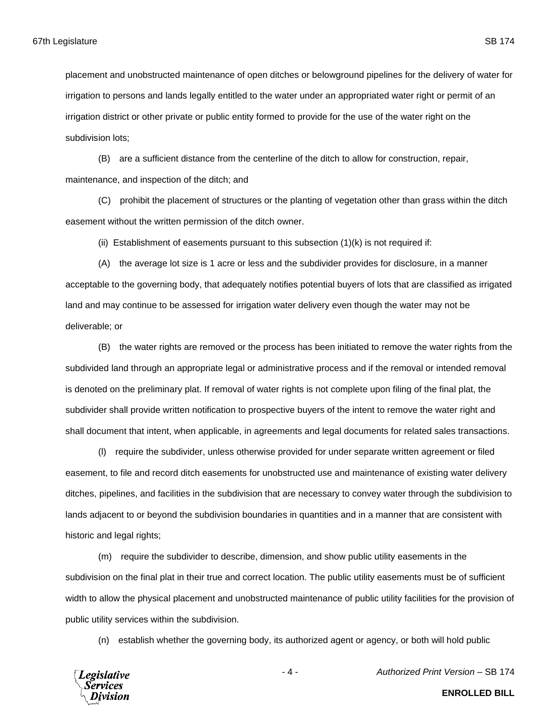placement and unobstructed maintenance of open ditches or belowground pipelines for the delivery of water for irrigation to persons and lands legally entitled to the water under an appropriated water right or permit of an irrigation district or other private or public entity formed to provide for the use of the water right on the subdivision lots;

(B) are a sufficient distance from the centerline of the ditch to allow for construction, repair, maintenance, and inspection of the ditch; and

(C) prohibit the placement of structures or the planting of vegetation other than grass within the ditch easement without the written permission of the ditch owner.

(ii) Establishment of easements pursuant to this subsection (1)(k) is not required if:

(A) the average lot size is 1 acre or less and the subdivider provides for disclosure, in a manner acceptable to the governing body, that adequately notifies potential buyers of lots that are classified as irrigated land and may continue to be assessed for irrigation water delivery even though the water may not be deliverable; or

(B) the water rights are removed or the process has been initiated to remove the water rights from the subdivided land through an appropriate legal or administrative process and if the removal or intended removal is denoted on the preliminary plat. If removal of water rights is not complete upon filing of the final plat, the subdivider shall provide written notification to prospective buyers of the intent to remove the water right and shall document that intent, when applicable, in agreements and legal documents for related sales transactions.

(l) require the subdivider, unless otherwise provided for under separate written agreement or filed easement, to file and record ditch easements for unobstructed use and maintenance of existing water delivery ditches, pipelines, and facilities in the subdivision that are necessary to convey water through the subdivision to lands adjacent to or beyond the subdivision boundaries in quantities and in a manner that are consistent with historic and legal rights;

(m) require the subdivider to describe, dimension, and show public utility easements in the subdivision on the final plat in their true and correct location. The public utility easements must be of sufficient width to allow the physical placement and unobstructed maintenance of public utility facilities for the provision of public utility services within the subdivision.

(n) establish whether the governing body, its authorized agent or agency, or both will hold public



**ENROLLED BILL**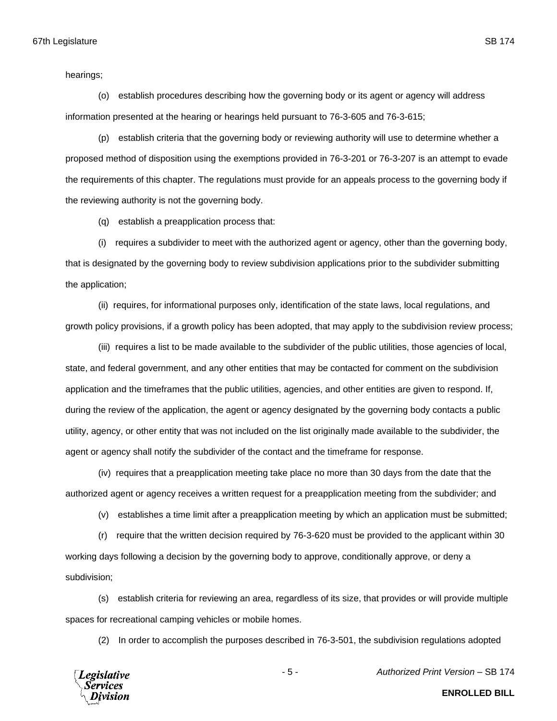hearings;

(o) establish procedures describing how the governing body or its agent or agency will address information presented at the hearing or hearings held pursuant to 76-3-605 and 76-3-615;

(p) establish criteria that the governing body or reviewing authority will use to determine whether a proposed method of disposition using the exemptions provided in 76-3-201 or 76-3-207 is an attempt to evade the requirements of this chapter. The regulations must provide for an appeals process to the governing body if the reviewing authority is not the governing body.

(q) establish a preapplication process that:

(i) requires a subdivider to meet with the authorized agent or agency, other than the governing body, that is designated by the governing body to review subdivision applications prior to the subdivider submitting the application;

(ii) requires, for informational purposes only, identification of the state laws, local regulations, and growth policy provisions, if a growth policy has been adopted, that may apply to the subdivision review process;

(iii) requires a list to be made available to the subdivider of the public utilities, those agencies of local, state, and federal government, and any other entities that may be contacted for comment on the subdivision application and the timeframes that the public utilities, agencies, and other entities are given to respond. If, during the review of the application, the agent or agency designated by the governing body contacts a public utility, agency, or other entity that was not included on the list originally made available to the subdivider, the agent or agency shall notify the subdivider of the contact and the timeframe for response.

(iv) requires that a preapplication meeting take place no more than 30 days from the date that the authorized agent or agency receives a written request for a preapplication meeting from the subdivider; and

(v) establishes a time limit after a preapplication meeting by which an application must be submitted;

(r) require that the written decision required by 76-3-620 must be provided to the applicant within 30 working days following a decision by the governing body to approve, conditionally approve, or deny a subdivision;

(s) establish criteria for reviewing an area, regardless of its size, that provides or will provide multiple spaces for recreational camping vehicles or mobile homes.

(2) In order to accomplish the purposes described in 76-3-501, the subdivision regulations adopted



- 5 - *Authorized Print Version* – SB 174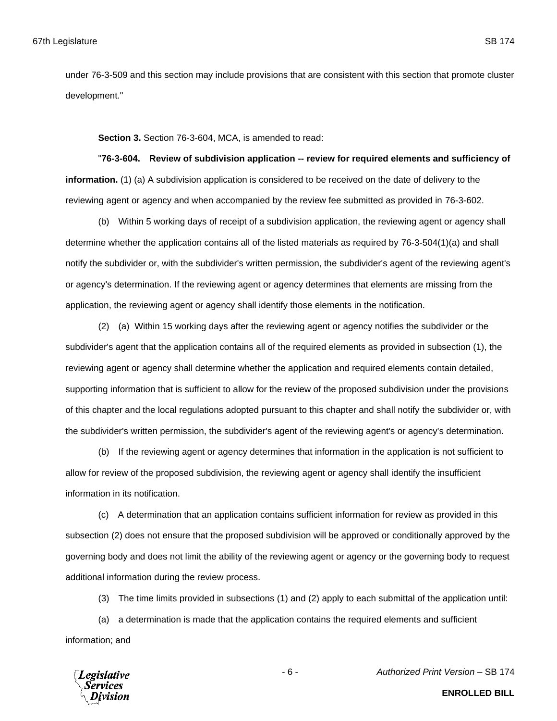under 76-3-509 and this section may include provisions that are consistent with this section that promote cluster development."

**Section 3.** Section 76-3-604, MCA, is amended to read:

"**76-3-604. Review of subdivision application -- review for required elements and sufficiency of information.** (1) (a) A subdivision application is considered to be received on the date of delivery to the reviewing agent or agency and when accompanied by the review fee submitted as provided in 76-3-602.

(b) Within 5 working days of receipt of a subdivision application, the reviewing agent or agency shall determine whether the application contains all of the listed materials as required by 76-3-504(1)(a) and shall notify the subdivider or, with the subdivider's written permission, the subdivider's agent of the reviewing agent's or agency's determination. If the reviewing agent or agency determines that elements are missing from the application, the reviewing agent or agency shall identify those elements in the notification.

(2) (a) Within 15 working days after the reviewing agent or agency notifies the subdivider or the subdivider's agent that the application contains all of the required elements as provided in subsection (1), the reviewing agent or agency shall determine whether the application and required elements contain detailed, supporting information that is sufficient to allow for the review of the proposed subdivision under the provisions of this chapter and the local regulations adopted pursuant to this chapter and shall notify the subdivider or, with the subdivider's written permission, the subdivider's agent of the reviewing agent's or agency's determination.

(b) If the reviewing agent or agency determines that information in the application is not sufficient to allow for review of the proposed subdivision, the reviewing agent or agency shall identify the insufficient information in its notification.

(c) A determination that an application contains sufficient information for review as provided in this subsection (2) does not ensure that the proposed subdivision will be approved or conditionally approved by the governing body and does not limit the ability of the reviewing agent or agency or the governing body to request additional information during the review process.

(3) The time limits provided in subsections (1) and (2) apply to each submittal of the application until:

(a) a determination is made that the application contains the required elements and sufficient information; and



- 6 - *Authorized Print Version* – SB 174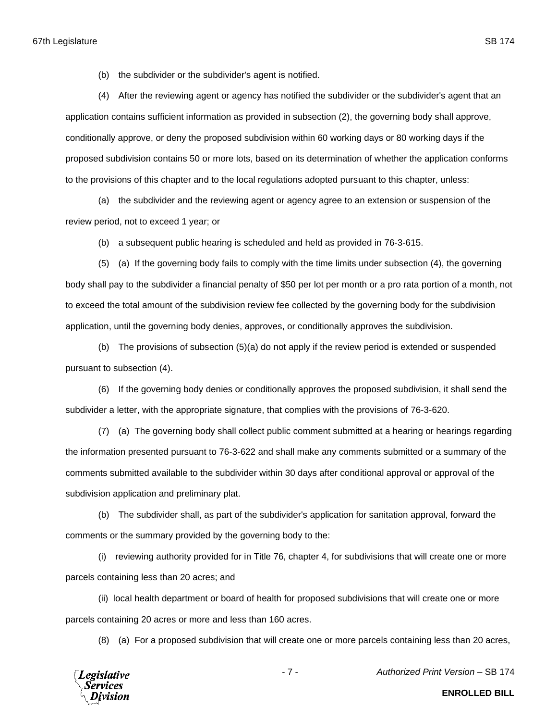(b) the subdivider or the subdivider's agent is notified.

(4) After the reviewing agent or agency has notified the subdivider or the subdivider's agent that an application contains sufficient information as provided in subsection (2), the governing body shall approve, conditionally approve, or deny the proposed subdivision within 60 working days or 80 working days if the proposed subdivision contains 50 or more lots, based on its determination of whether the application conforms to the provisions of this chapter and to the local regulations adopted pursuant to this chapter, unless:

(a) the subdivider and the reviewing agent or agency agree to an extension or suspension of the review period, not to exceed 1 year; or

(b) a subsequent public hearing is scheduled and held as provided in 76-3-615.

(5) (a) If the governing body fails to comply with the time limits under subsection (4), the governing body shall pay to the subdivider a financial penalty of \$50 per lot per month or a pro rata portion of a month, not to exceed the total amount of the subdivision review fee collected by the governing body for the subdivision application, until the governing body denies, approves, or conditionally approves the subdivision.

(b) The provisions of subsection (5)(a) do not apply if the review period is extended or suspended pursuant to subsection (4).

(6) If the governing body denies or conditionally approves the proposed subdivision, it shall send the subdivider a letter, with the appropriate signature, that complies with the provisions of 76-3-620.

(7) (a) The governing body shall collect public comment submitted at a hearing or hearings regarding the information presented pursuant to 76-3-622 and shall make any comments submitted or a summary of the comments submitted available to the subdivider within 30 days after conditional approval or approval of the subdivision application and preliminary plat.

(b) The subdivider shall, as part of the subdivider's application for sanitation approval, forward the comments or the summary provided by the governing body to the:

(i) reviewing authority provided for in Title 76, chapter 4, for subdivisions that will create one or more parcels containing less than 20 acres; and

(ii) local health department or board of health for proposed subdivisions that will create one or more parcels containing 20 acres or more and less than 160 acres.

(8) (a) For a proposed subdivision that will create one or more parcels containing less than 20 acres,



- 7 - *Authorized Print Version* – SB 174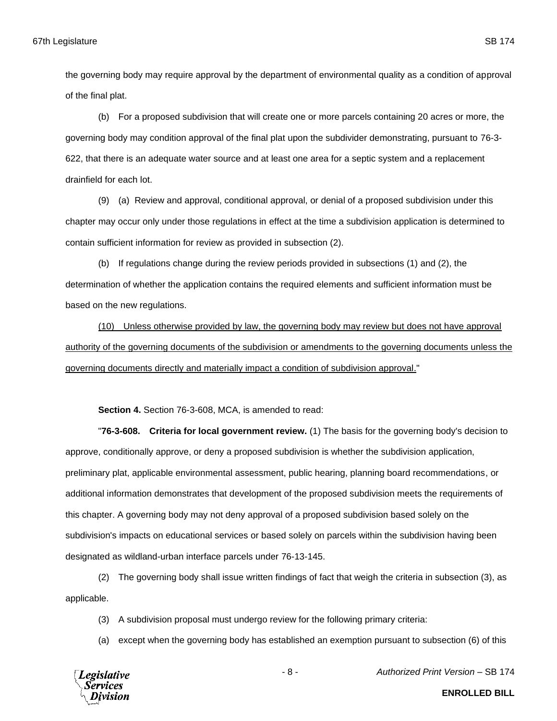the governing body may require approval by the department of environmental quality as a condition of approval of the final plat.

(b) For a proposed subdivision that will create one or more parcels containing 20 acres or more, the governing body may condition approval of the final plat upon the subdivider demonstrating, pursuant to 76-3- 622, that there is an adequate water source and at least one area for a septic system and a replacement drainfield for each lot.

(9) (a) Review and approval, conditional approval, or denial of a proposed subdivision under this chapter may occur only under those regulations in effect at the time a subdivision application is determined to contain sufficient information for review as provided in subsection (2).

(b) If regulations change during the review periods provided in subsections (1) and (2), the determination of whether the application contains the required elements and sufficient information must be based on the new regulations.

(10) Unless otherwise provided by law, the governing body may review but does not have approval authority of the governing documents of the subdivision or amendments to the governing documents unless the governing documents directly and materially impact a condition of subdivision approval."

**Section 4.** Section 76-3-608, MCA, is amended to read:

"**76-3-608. Criteria for local government review.** (1) The basis for the governing body's decision to approve, conditionally approve, or deny a proposed subdivision is whether the subdivision application, preliminary plat, applicable environmental assessment, public hearing, planning board recommendations, or additional information demonstrates that development of the proposed subdivision meets the requirements of this chapter. A governing body may not deny approval of a proposed subdivision based solely on the subdivision's impacts on educational services or based solely on parcels within the subdivision having been designated as wildland-urban interface parcels under 76-13-145.

(2) The governing body shall issue written findings of fact that weigh the criteria in subsection (3), as applicable.

(3) A subdivision proposal must undergo review for the following primary criteria:

(a) except when the governing body has established an exemption pursuant to subsection (6) of this



- 8 - *Authorized Print Version* – SB 174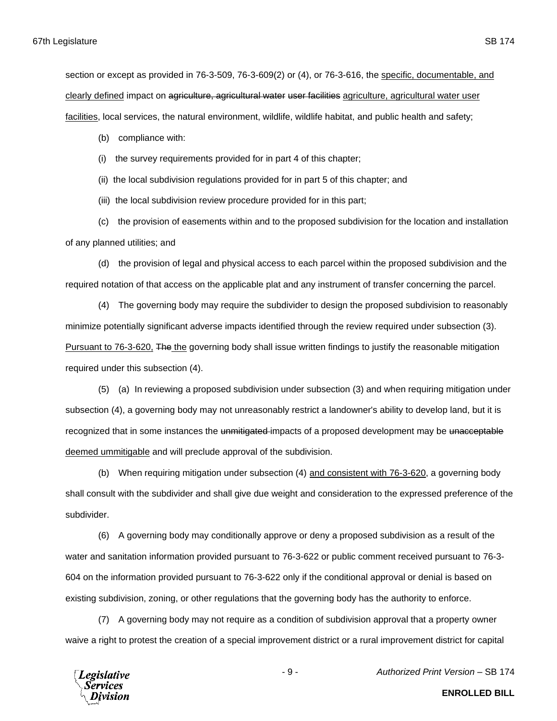clearly defined impact on agriculture, agricultural water user facilities agriculture, agricultural water user

facilities, local services, the natural environment, wildlife, wildlife habitat, and public health and safety;

- (b) compliance with:
- (i) the survey requirements provided for in part 4 of this chapter;

(ii) the local subdivision regulations provided for in part 5 of this chapter; and

(iii) the local subdivision review procedure provided for in this part;

(c) the provision of easements within and to the proposed subdivision for the location and installation of any planned utilities; and

(d) the provision of legal and physical access to each parcel within the proposed subdivision and the required notation of that access on the applicable plat and any instrument of transfer concerning the parcel.

(4) The governing body may require the subdivider to design the proposed subdivision to reasonably minimize potentially significant adverse impacts identified through the review required under subsection (3). Pursuant to 76-3-620, The the governing body shall issue written findings to justify the reasonable mitigation required under this subsection (4).

(5) (a) In reviewing a proposed subdivision under subsection (3) and when requiring mitigation under subsection (4), a governing body may not unreasonably restrict a landowner's ability to develop land, but it is recognized that in some instances the unmitigated impacts of a proposed development may be unacceptable deemed ummitigable and will preclude approval of the subdivision.

(b) When requiring mitigation under subsection (4) and consistent with 76-3-620, a governing body shall consult with the subdivider and shall give due weight and consideration to the expressed preference of the subdivider.

(6) A governing body may conditionally approve or deny a proposed subdivision as a result of the water and sanitation information provided pursuant to 76-3-622 or public comment received pursuant to 76-3- 604 on the information provided pursuant to 76-3-622 only if the conditional approval or denial is based on existing subdivision, zoning, or other regulations that the governing body has the authority to enforce.

(7) A governing body may not require as a condition of subdivision approval that a property owner waive a right to protest the creation of a special improvement district or a rural improvement district for capital

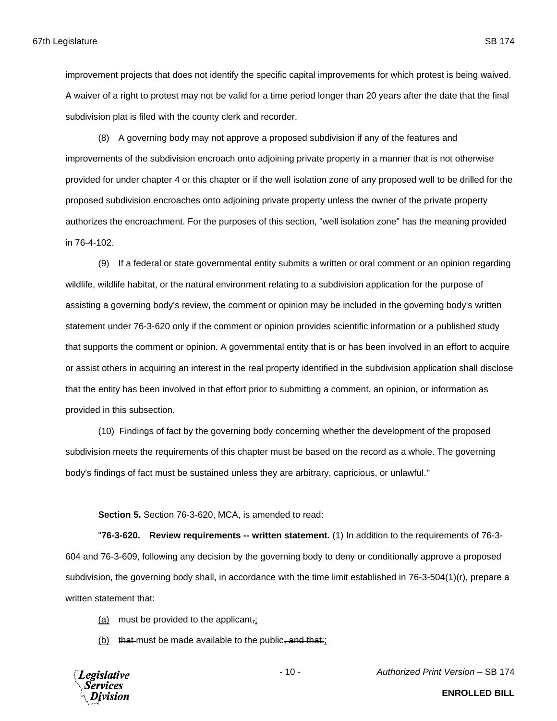improvement projects that does not identify the specific capital improvements for which protest is being waived. A waiver of a right to protest may not be valid for a time period longer than 20 years after the date that the final subdivision plat is filed with the county clerk and recorder.

(8) A governing body may not approve a proposed subdivision if any of the features and improvements of the subdivision encroach onto adjoining private property in a manner that is not otherwise provided for under chapter 4 or this chapter or if the well isolation zone of any proposed well to be drilled for the proposed subdivision encroaches onto adjoining private property unless the owner of the private property authorizes the encroachment. For the purposes of this section, "well isolation zone" has the meaning provided in 76-4-102.

(9) If a federal or state governmental entity submits a written or oral comment or an opinion regarding wildlife, wildlife habitat, or the natural environment relating to a subdivision application for the purpose of assisting a governing body's review, the comment or opinion may be included in the governing body's written statement under 76-3-620 only if the comment or opinion provides scientific information or a published study that supports the comment or opinion. A governmental entity that is or has been involved in an effort to acquire or assist others in acquiring an interest in the real property identified in the subdivision application shall disclose that the entity has been involved in that effort prior to submitting a comment, an opinion, or information as provided in this subsection.

(10) Findings of fact by the governing body concerning whether the development of the proposed subdivision meets the requirements of this chapter must be based on the record as a whole. The governing body's findings of fact must be sustained unless they are arbitrary, capricious, or unlawful."

**Section 5.** Section 76-3-620, MCA, is amended to read:

"**76-3-620. Review requirements -- written statement.** (1) In addition to the requirements of 76-3- 604 and 76-3-609, following any decision by the governing body to deny or conditionally approve a proposed subdivision, the governing body shall, in accordance with the time limit established in 76-3-504(1)(r), prepare a written statement that:

- (a) must be provided to the applicant,;
- (b) that must be made available to the public, and that:

**Legislative** Services

- 10 - *Authorized Print Version* – SB 174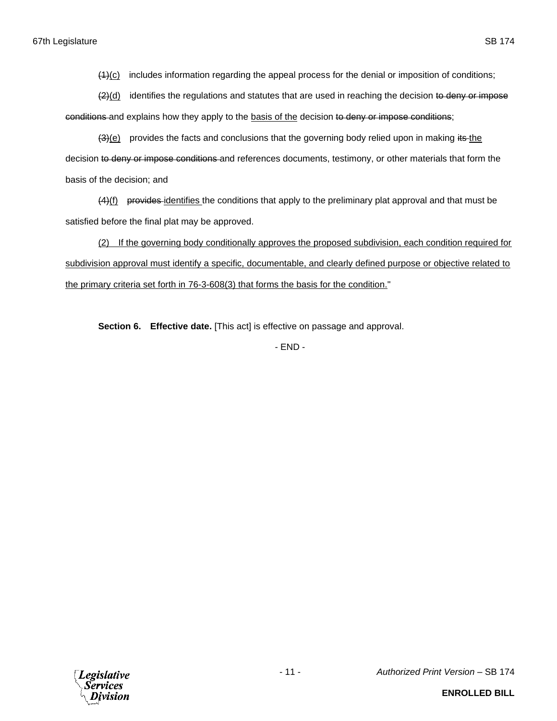(1)(c) includes information regarding the appeal process for the denial or imposition of conditions;

 $(2)(d)$  identifies the regulations and statutes that are used in reaching the decision to deny or impose conditions and explains how they apply to the basis of the decision to deny or impose conditions;

 $(3)(e)$  provides the facts and conclusions that the governing body relied upon in making its the decision to deny or impose conditions and references documents, testimony, or other materials that form the basis of the decision; and

(4)(f) provides identifies the conditions that apply to the preliminary plat approval and that must be satisfied before the final plat may be approved.

(2) If the governing body conditionally approves the proposed subdivision, each condition required for subdivision approval must identify a specific, documentable, and clearly defined purpose or objective related to the primary criteria set forth in 76-3-608(3) that forms the basis for the condition."

**Section 6. Effective date.** [This act] is effective on passage and approval.

- END -

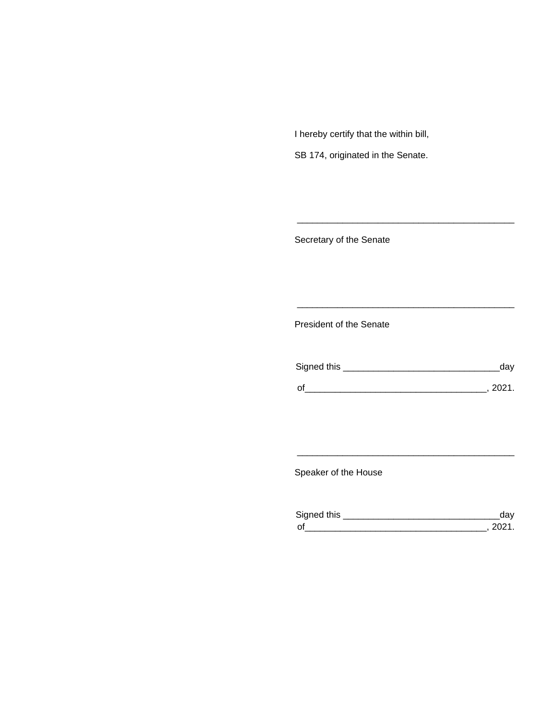I hereby certify that the within bill,

SB 174, originated in the Senate.

Secretary of the Senate

President of the Senate

| Signed this | uav    |
|-------------|--------|
|             | 111'11 |
| $\Omega$    |        |

\_\_\_\_\_\_\_\_\_\_\_\_\_\_\_\_\_\_\_\_\_\_\_\_\_\_\_\_\_\_\_\_\_\_\_\_\_\_\_\_\_\_\_

\_\_\_\_\_\_\_\_\_\_\_\_\_\_\_\_\_\_\_\_\_\_\_\_\_\_\_\_\_\_\_\_\_\_\_\_\_\_\_\_\_\_\_

Speaker of the House

| Sianed this |  |
|-------------|--|
| $\Omega$    |  |

\_\_\_\_\_\_\_\_\_\_\_\_\_\_\_\_\_\_\_\_\_\_\_\_\_\_\_\_\_\_\_\_\_\_\_\_\_\_\_\_\_\_\_